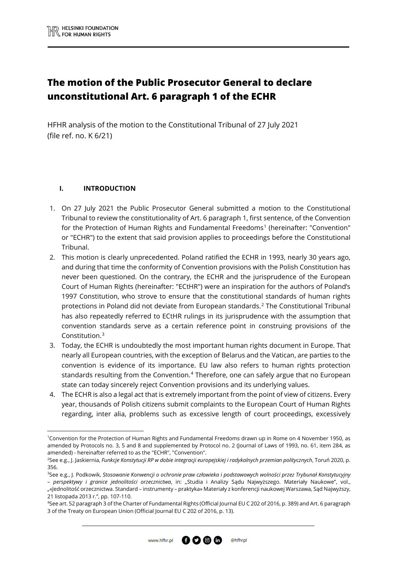# **The motion of the Public Prosecutor General to declare unconstitutional Art. 6 paragraph 1 of the ECHR**

HFHR analysis of the motion to the Constitutional Tribunal of 27 July 2021 (file ref. no. K 6/21)

## **I. INTRODUCTION**

**.** 

- 1. On 27 July 2021 the Public Prosecutor General submitted a motion to the Constitutional Tribunal to review the constitutionality of Art. 6 paragraph 1, first sentence, of the Convention for the Protection of Human Rights and Fundamental Freedoms<sup>[1](#page-0-0)</sup> (hereinafter: "Convention" or "ECHR") to the extent that said provision applies to proceedings before the Constitutional Tribunal.
- 2. This motion is clearly unprecedented. Poland ratified the ECHR in 1993, nearly 30 years ago, and during that time the conformity of Convention provisions with the Polish Constitution has never been questioned. On the contrary, the ECHR and the jurisprudence of the European Court of Human Rights (hereinafter: "ECtHR") were an inspiration for the authors of Poland's 1997 Constitution, who strove to ensure that the constitutional standards of human rights protections in Poland did not deviate from European standards.[2](#page-0-1) The Constitutional Tribunal has also repeatedly referred to ECtHR rulings in its jurisprudence with the assumption that convention standards serve as a certain reference point in construing provisions of the Constitution.[3](#page-0-2)
- 3. Today, the ECHR is undoubtedly the most important human rights document in Europe. That nearly all European countries, with the exception of Belarus and the Vatican, are parties to the convention is evidence of its importance. EU law also refers to human rights protection standards resulting from the Convention.<sup>[4](#page-0-3)</sup> Therefore, one can safely argue that no European state can today sincerely reject Convention provisions and its underlying values.
- 4. The ECHR is also a legal act that is extremely important from the point of view of citizens. Every year, thousands of Polish citizens submit complaints to the European Court of Human Rights regarding, inter alia, problems such as excessive length of court proceedings, excessively



<span id="page-0-0"></span><sup>1</sup> Convention for the Protection of Human Rights and Fundamental Freedoms drawn up in Rome on 4 November 1950, as amended by Protocols no. 3, 5 and 8 and supplemented by Protocol no. 2 (Journal of Laws of 1993, no. 61, item 284, as amended) - hereinafter referred to as the "ECHR", "Convention".

<span id="page-0-1"></span><sup>2</sup> See e.g., J. Jaskiernia, *Funkcje Konstytucji RP w dobie integracji europejskiej i radykalnych przemian politycznych*, Toruń 2020, p. 356.

<span id="page-0-2"></span><sup>3</sup> See e.g., J. Podkowik, *Stosowanie Konwencji o ochronie praw człowieka i podstawowych wolności przez Trybunał Konstytucyjny* 

*<sup>–</sup> perspektywy i granice jednolitości orzecznictwa*, in: "Studia i Analizy Sądu Najwyższego. Materiały Naukowe", vol., "«Jednolitość orzecznictwa. Standard – instrumenty – praktyka» Materiały z konferencji naukowej Warszawa, Sąd Najwyższy, 21 listopada 2013 r.", pp. 107-110.

<span id="page-0-3"></span><sup>4</sup> See art. 52 paragraph 3 of the Charter of Fundamental Rights (Official Journal EU C 202 of 2016, p. 389) and Art. 6 paragraph 3 of the Treaty on European Union (Official Journal EU C 202 of 2016, p. 13).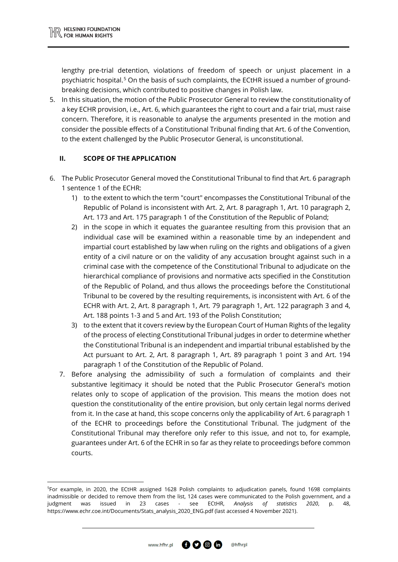$\overline{\phantom{a}}$ 

lengthy pre-trial detention, violations of freedom of speech or unjust placement in a psychiatric hospital.[5](#page-1-0) On the basis of such complaints, the ECtHR issued a number of groundbreaking decisions, which contributed to positive changes in Polish law.

5. In this situation, the motion of the Public Prosecutor General to review the constitutionality of a key ECHR provision, i.e., Art. 6, which guarantees the right to court and a fair trial, must raise concern. Therefore, it is reasonable to analyse the arguments presented in the motion and consider the possible effects of a Constitutional Tribunal finding that Art. 6 of the Convention, to the extent challenged by the Public Prosecutor General, is unconstitutional.

## **II. SCOPE OF THE APPLICATION**

- 6. The Public Prosecutor General moved the Constitutional Tribunal to find that Art. 6 paragraph 1 sentence 1 of the ECHR:
	- 1) to the extent to which the term "court" encompasses the Constitutional Tribunal of the Republic of Poland is inconsistent with Art. 2, Art. 8 paragraph 1, Art. 10 paragraph 2, Art. 173 and Art. 175 paragraph 1 of the Constitution of the Republic of Poland;
	- 2) in the scope in which it equates the guarantee resulting from this provision that an individual case will be examined within a reasonable time by an independent and impartial court established by law when ruling on the rights and obligations of a given entity of a civil nature or on the validity of any accusation brought against such in a criminal case with the competence of the Constitutional Tribunal to adjudicate on the hierarchical compliance of provisions and normative acts specified in the Constitution of the Republic of Poland, and thus allows the proceedings before the Constitutional Tribunal to be covered by the resulting requirements, is inconsistent with Art. 6 of the ECHR with Art. 2, Art. 8 paragraph 1, Art. 79 paragraph 1, Art. 122 paragraph 3 and 4, Art. 188 points 1-3 and 5 and Art. 193 of the Polish Constitution;
	- 3) to the extent that it covers review by the European Court of Human Rights of the legality of the process of electing Constitutional Tribunal judges in order to determine whether the Constitutional Tribunal is an independent and impartial tribunal established by the Act pursuant to Art. 2, Art. 8 paragraph 1, Art. 89 paragraph 1 point 3 and Art. 194 paragraph 1 of the Constitution of the Republic of Poland.
	- 7. Before analysing the admissibility of such a formulation of complaints and their substantive legitimacy it should be noted that the Public Prosecutor General's motion relates only to scope of application of the provision. This means the motion does not question the constitutionality of the entire provision, but only certain legal norms derived from it. In the case at hand, this scope concerns only the applicability of Art. 6 paragraph 1 of the ECHR to proceedings before the Constitutional Tribunal. The judgment of the Constitutional Tribunal may therefore only refer to this issue, and not to, for example, guarantees under Art. 6 of the ECHR in so far as they relate to proceedings before common courts.



<span id="page-1-0"></span><sup>5</sup> For example, in 2020, the ECtHR assigned 1628 Polish complaints to adjudication panels, found 1698 complaints inadmissible or decided to remove them from the list, 124 cases were communicated to the Polish government, and a judgment was issued in 23 cases - see ECtHR, *Analysis of statistics 2020*, p. 48, https://www.echr.coe.int/Documents/Stats\_analysis\_2020\_ENG.pdf (last accessed 4 November 2021).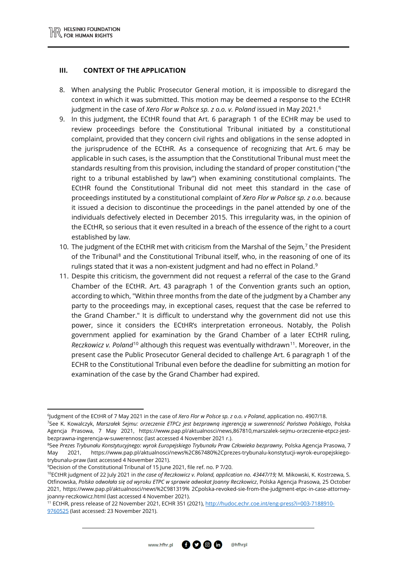#### **III. CONTEXT OF THE APPLICATION**

- 8. When analysing the Public Prosecutor General motion, it is impossible to disregard the context in which it was submitted. This motion may be deemed a response to the ECtHR judgment in the case of *Xero Flor w Polsce sp. z o.o. v. Poland* issued in May 2021.[6](#page-2-0)
- 9. In this judgment, the ECtHR found that Art. 6 paragraph 1 of the ECHR may be used to review proceedings before the Constitutional Tribunal initiated by a constitutional complaint, provided that they concern civil rights and obligations in the sense adopted in the jurisprudence of the ECtHR. As a consequence of recognizing that Art. 6 may be applicable in such cases, is the assumption that the Constitutional Tribunal must meet the standards resulting from this provision, including the standard of proper constitution ("the right to a tribunal established by law") when examining constitutional complaints. The ECtHR found the Constitutional Tribunal did not meet this standard in the case of proceedings instituted by a constitutional complaint of *Xero Flor w Polsce sp. z o.o*. because it issued a decision to discontinue the proceedings in the panel attended by one of the individuals defectively elected in December 2015. This irregularity was, in the opinion of the ECtHR, so serious that it even resulted in a breach of the essence of the right to a court established by law.
- 10. The judgment of the ECtHR met with criticism from the Marshal of the Sejm, $<sup>7</sup>$  $<sup>7</sup>$  $<sup>7</sup>$  the President</sup> of the Tribunal<sup>[8](#page-2-2)</sup> and the Constitutional Tribunal itself, who, in the reasoning of one of its rulings stated that it was a non-existent judgment and had no effect in Poland.<sup>[9](#page-2-3)</sup>
- 11. Despite this criticism, the government did not request a referral of the case to the Grand Chamber of the ECtHR. Art. 43 paragraph 1 of the Convention grants such an option, according to which, "Within three months from the date of the judgment by a Chamber any party to the proceedings may, in exceptional cases, request that the case be referred to the Grand Chamber." It is difficult to understand why the government did not use this power, since it considers the ECtHR's interpretation erroneous. Notably, the Polish government applied for examination by the Grand Chamber of a later ECtHR ruling, *Reczkowicz v. Poland*<sup>[10](#page-2-4)</sup> although this request was eventually withdrawn<sup>11</sup>. Moreover, in the present case the Public Prosecutor General decided to challenge Art. 6 paragraph 1 of the ECHR to the Constitutional Tribunal even before the deadline for submitting an motion for examination of the case by the Grand Chamber had expired.

**.** 

 $0000$ 

<span id="page-2-1"></span><span id="page-2-0"></span><sup>6</sup> Judgment of the ECtHR of 7 May 2021 in the case of *Xero Flor w Polsce sp. z o.o. v Poland*, application no. 4907/18. 7 See K. Kowalczyk, *Marszałek Sejmu: orzeczenie ETPCz jest bezprawną ingerencją w suwerenność Państwa Polskiego*, Polska Agencja Prasowa, 7 May 2021, https://www.pap.pl/aktualnosci/news,867810,marszalek-sejmu-orzeczenie-etpcz-jestbezprawna-ingerencja-w-suwerennosc (last accessed 4 November 2021 r.).

<span id="page-2-2"></span><sup>8</sup> See *Prezes Trybunału Konstytucyjnego: wyrok Europejskiego Trybunału Praw Człowieka bezprawny*, Polska Agencja Prasowa, 7 May 2021, https://www.pap.pl/aktualnosci/news%2C867480%2Cprezes-trybunalu-konstytucji-wyrok-europejskiegotrybunalu-praw (last accessed 4 November 2021).

<sup>&</sup>lt;sup>9</sup>Decision of the Constitutional Tribunal of 15 June 2021, file ref. no. P 7/20.

<span id="page-2-4"></span><span id="page-2-3"></span><sup>&</sup>lt;sup>10</sup>ECtHR judgment of 22 July 2021 in the case of Reczkowicz v. Poland, application no. 43447/19; M. Mikowski, K. Kostrzewa, S. Otfinowska, *Polska odwołała się od wyroku ETPC w sprawie adwokat Joanny Reczkowicz*, Polska Agencja Prasowa, 25 October 2021, https://www.pap.pl/aktualnosci/news%2C981319% 2Cpolska-revoked-sie-from-the-judgment-etpc-in-case-attorneyjoanny-reczkowicz.html (last accessed 4 November 2021).

<span id="page-2-5"></span><sup>11</sup> ECtHR, press release of 22 November 2021, ECHR 351 (2021)[, http://hudoc.echr.coe.int/eng-press?i=003-7188910-](http://hudoc.echr.coe.int/eng-press?i=003-7188910-9760525) [9760525](http://hudoc.echr.coe.int/eng-press?i=003-7188910-9760525) (last accessed: 23 November 2021).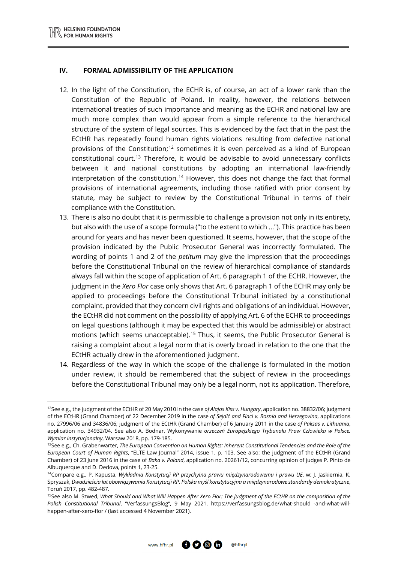$\overline{a}$ 

#### **IV. FORMAL ADMISSIBILITY OF THE APPLICATION**

- 12. In the light of the Constitution, the ECHR is, of course, an act of a lower rank than the Constitution of the Republic of Poland. In reality, however, the relations between international treaties of such importance and meaning as the ECHR and national law are much more complex than would appear from a simple reference to the hierarchical structure of the system of legal sources. This is evidenced by the fact that in the past the ECtHR has repeatedly found human rights violations resulting from defective national provisions of the Constitution;<sup>[12](#page-3-0)</sup> sometimes it is even perceived as a kind of European constitutional court. [13](#page-3-1) Therefore, it would be advisable to avoid unnecessary conflicts between it and national constitutions by adopting an international law-friendly interpretation of the constitution. [14](#page-3-2) However, this does not change the fact that formal provisions of international agreements, including those ratified with prior consent by statute, may be subject to review by the Constitutional Tribunal in terms of their compliance with the Constitution.
- 13. There is also no doubt that it is permissible to challenge a provision not only in its entirety, but also with the use of a scope formula ("to the extent to which ..."). This practice has been around for years and has never been questioned. It seems, however, that the scope of the provision indicated by the Public Prosecutor General was incorrectly formulated. The wording of points 1 and 2 of the *petitum* may give the impression that the proceedings before the Constitutional Tribunal on the review of hierarchical compliance of standards always fall within the scope of application of Art. 6 paragraph 1 of the ECHR. However, the judgment in the *Xero Flor* case only shows that Art. 6 paragraph 1 of the ECHR may only be applied to proceedings before the Constitutional Tribunal initiated by a constitutional complaint, provided that they concern civil rights and obligations of an individual. However, the ECtHR did not comment on the possibility of applying Art. 6 of the ECHR to proceedings on legal questions (although it may be expected that this would be admissible) or abstract motions (which seems unacceptable).<sup>[15](#page-3-3)</sup> Thus, it seems, the Public Prosecutor General is raising a complaint about a legal norm that is overly broad in relation to the one that the ECtHR actually drew in the aforementioned judgment.
- 14. Regardless of the way in which the scope of the challenge is formulated in the motion under review, it should be remembered that the subject of review in the proceedings before the Constitutional Tribunal may only be a legal norm, not its application. Therefore,

@hfhrpl

<span id="page-3-0"></span><sup>12</sup>See e.g., the judgment of the ECtHR of 20 May 2010 in the case *of Alajos Kiss v. Hungary*, application no. 38832/06; judgment of the ECtHR (Grand Chamber) of 22 December 2019 in the case *of Sejdić and Finci v. Bosnia and Herzegovina*, applications no. 27996/06 and 34836/06; judgment of the ECtHR (Grand Chamber) of 6 January 2011 in the case *of Paksas v. Lithuania*, application no. 34932/04. See also A. Bodnar, Wykonywanie *orzeczeń Europejskiego Trybunału Praw Człowieka w Polsce. Wymiar instytucjonalny*, Warsaw 2018, pp. 179-185.

<span id="page-3-1"></span><sup>13</sup>See e.g., Ch. Grabenwarter, *The European Convention on Human Rights: Inherent Constitutional Tendencies and the Role of the European Court of Human Rights*, "ELTE Law Journal" 2014, issue 1, p. 103. See also: the judgment of the ECtHR (Grand Chamber) of 23 June 2016 in the case of *Baka v. Poland*, application no. 20261/12, concurring opinion of judges P. Pinto de Albuquerque and D. Dedova, points 1, 23-25.

<span id="page-3-2"></span><sup>14</sup>Compare e.g., P. Kapusta, *Wykładnia Konstytucji RP przychylna prawu międzynarodowemu i prawu UE*, w: J. Jaskiernia, K. Spryszak, *Dwadzieścia lat obowiązywania Konstytucji RP. Polska myśl konstytucyjna a międzynarodowe standardy demokratyczne*, Toruń 2017, pp. 482-487.

<span id="page-3-3"></span><sup>15</sup>See also M. Szwed, *What Should and What Will Happen After Xero Flor: The judgment of the ECtHR on the composition of the Polish Constitutional Tribunal*, "VerfassungsBlog", 9 May 2021, https://verfassungsblog.de/what-should -and-what-willhappen-after-xero-flor / (last accessed 4 November 2021).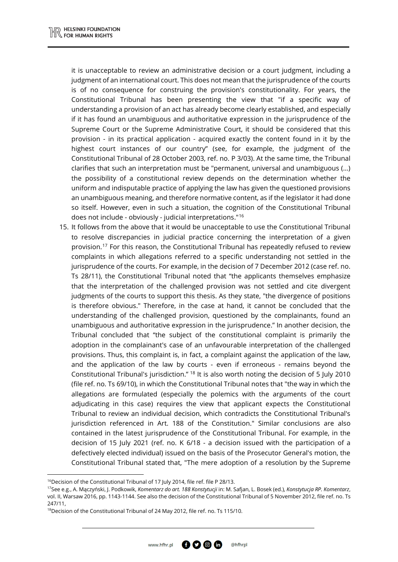it is unacceptable to review an administrative decision or a court judgment, including a judgment of an international court. This does not mean that the jurisprudence of the courts is of no consequence for construing the provision's constitutionality. For years, the Constitutional Tribunal has been presenting the view that "if a specific way of understanding a provision of an act has already become clearly established, and especially if it has found an unambiguous and authoritative expression in the jurisprudence of the Supreme Court or the Supreme Administrative Court, it should be considered that this provision - in its practical application - acquired exactly the content found in it by the highest court instances of our country" (see, for example, the judgment of the Constitutional Tribunal of 28 October 2003, ref. no. P 3/03). At the same time, the Tribunal clarifies that such an interpretation must be "permanent, universal and unambiguous (...) the possibility of a constitutional review depends on the determination whether the uniform and indisputable practice of applying the law has given the questioned provisions an unambiguous meaning, and therefore normative content, as if the legislator it had done so itself. However, even in such a situation, the cognition of the Constitutional Tribunal does not include - obviously - judicial interpretations."[16](#page-4-0)

15. It follows from the above that it would be unacceptable to use the Constitutional Tribunal to resolve discrepancies in judicial practice concerning the interpretation of a given provision. [17](#page-4-1) For this reason, the Constitutional Tribunal has repeatedly refused to review complaints in which allegations referred to a specific understanding not settled in the jurisprudence of the courts. For example, in the decision of 7 December 2012 (case ref. no. Ts 28/11), the Constitutional Tribunal noted that "the applicants themselves emphasize that the interpretation of the challenged provision was not settled and cite divergent judgments of the courts to support this thesis. As they state, "the divergence of positions is therefore obvious." Therefore, in the case at hand, it cannot be concluded that the understanding of the challenged provision, questioned by the complainants, found an unambiguous and authoritative expression in the jurisprudence." In another decision, the Tribunal concluded that "the subject of the constitutional complaint is primarily the adoption in the complainant's case of an unfavourable interpretation of the challenged provisions. Thus, this complaint is, in fact, a complaint against the application of the law, and the application of the law by courts - even if erroneous - remains beyond the Constitutional Tribunal's jurisdiction." [18](#page-4-2) It is also worth noting the decision of 5 July 2010 (file ref. no. Ts 69/10), in which the Constitutional Tribunal notes that "the way in which the allegations are formulated (especially the polemics with the arguments of the court adjudicating in this case) requires the view that applicant expects the Constitutional Tribunal to review an individual decision, which contradicts the Constitutional Tribunal's jurisdiction referenced in Art. 188 of the Constitution." Similar conclusions are also contained in the latest jurisprudence of the Constitutional Tribunal. For example, in the decision of 15 July 2021 (ref. no. K 6/18 - a decision issued with the participation of a defectively elected individual) issued on the basis of the Prosecutor General's motion, the Constitutional Tribunal stated that, "The mere adoption of a resolution by the Supreme

 $\overline{a}$ 

<span id="page-4-0"></span><sup>&</sup>lt;sup>16</sup>Decision of the Constitutional Tribunal of 17 July 2014, file ref. file P 28/13.

<span id="page-4-1"></span><sup>17</sup>See e.g., A. Mączyński, J. Podkowik, *Komentarz do art. 188 Konstytucji* in: M. Safjan, L. Bosek (ed.), *Konstytucja RP. Komentarz*, vol. II, Warsaw 2016, pp. 1143-1144. See also the decision of the Constitutional Tribunal of 5 November 2012, file ref. no. Ts 247/11,

<span id="page-4-2"></span><sup>&</sup>lt;sup>18</sup>Decision of the Constitutional Tribunal of 24 May 2012, file ref. no. Ts 115/10.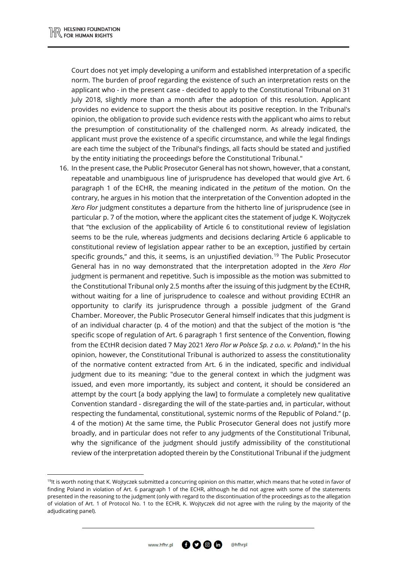$\overline{a}$ 

Court does not yet imply developing a uniform and established interpretation of a specific norm. The burden of proof regarding the existence of such an interpretation rests on the applicant who - in the present case - decided to apply to the Constitutional Tribunal on 31 July 2018, slightly more than a month after the adoption of this resolution. Applicant provides no evidence to support the thesis about its positive reception. In the Tribunal's opinion, the obligation to provide such evidence rests with the applicant who aims to rebut the presumption of constitutionality of the challenged norm. As already indicated, the applicant must prove the existence of a specific circumstance, and while the legal findings are each time the subject of the Tribunal's findings, all facts should be stated and justified by the entity initiating the proceedings before the Constitutional Tribunal."

16. In the present case, the Public Prosecutor General has not shown, however, that a constant, repeatable and unambiguous line of jurisprudence has developed that would give Art. 6 paragraph 1 of the ECHR, the meaning indicated in the *petitum* of the motion. On the contrary, he argues in his motion that the interpretation of the Convention adopted in the *Xero Flor* judgment constitutes a departure from the hitherto line of jurisprudence (see in particular p. 7 of the motion, where the applicant cites the statement of judge K. Wojtyczek that "the exclusion of the applicability of Article 6 to constitutional review of legislation seems to be the rule, whereas judgments and decisions declaring Article 6 applicable to constitutional review of legislation appear rather to be an exception, justified by certain specific grounds," and this, it seems, is an unjustified deviation.<sup>[19](#page-5-0)</sup> The Public Prosecutor General has in no way demonstrated that the interpretation adopted in the *Xero Flor*  judgment is permanent and repetitive. Such is impossible as the motion was submitted to the Constitutional Tribunal only 2.5 months after the issuing of this judgment by the ECtHR, without waiting for a line of jurisprudence to coalesce and without providing ECtHR an opportunity to clarify its jurisprudence through a possible judgment of the Grand Chamber. Moreover, the Public Prosecutor General himself indicates that this judgment is of an individual character (p. 4 of the motion) and that the subject of the motion is "the specific scope of regulation of Art. 6 paragraph 1 first sentence of the Convention, flowing from the ECtHR decision dated 7 May 2021 *Xero Flor w Polsce Sp. z o.o. v. Poland*)." In the his opinion, however, the Constitutional Tribunal is authorized to assess the constitutionality of the normative content extracted from Art. 6 in the indicated, specific and individual judgment due to its meaning: "due to the general context in which the judgment was issued, and even more importantly, its subject and content, it should be considered an attempt by the court [a body applying the law] to formulate a completely new qualitative Convention standard - disregarding the will of the state-parties and, in particular, without respecting the fundamental, constitutional, systemic norms of the Republic of Poland." (p. 4 of the motion) At the same time, the Public Prosecutor General does not justify more broadly, and in particular does not refer to any judgments of the Constitutional Tribunal, why the significance of the judgment should justify admissibility of the constitutional review of the interpretation adopted therein by the Constitutional Tribunal if the judgment

<span id="page-5-0"></span> $19$ It is worth noting that K. Wojtyczek submitted a concurring opinion on this matter, which means that he voted in favor of finding Poland in violation of Art. 6 paragraph 1 of the ECHR, although he did not agree with some of the statements presented in the reasoning to the judgment (only with regard to the discontinuation of the proceedings as to the allegation of violation of Art. 1 of Protocol No. 1 to the ECHR, K. Wojtyczek did not agree with the ruling by the majority of the adjudicating panel).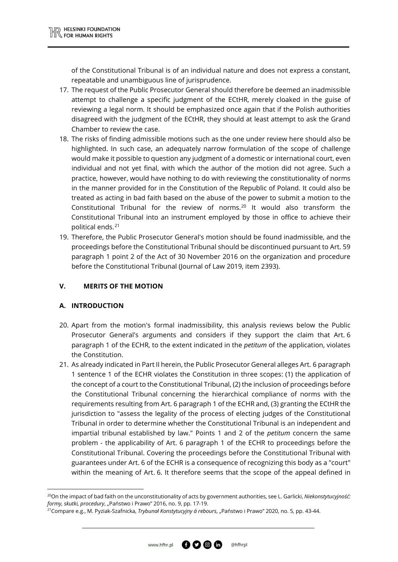of the Constitutional Tribunal is of an individual nature and does not express a constant, repeatable and unambiguous line of jurisprudence.

- 17. The request of the Public Prosecutor General should therefore be deemed an inadmissible attempt to challenge a specific judgment of the ECtHR, merely cloaked in the guise of reviewing a legal norm. It should be emphasized once again that if the Polish authorities disagreed with the judgment of the ECtHR, they should at least attempt to ask the Grand Chamber to review the case.
- 18. The risks of finding admissible motions such as the one under review here should also be highlighted. In such case, an adequately narrow formulation of the scope of challenge would make it possible to question any judgment of a domestic or international court, even individual and not yet final, with which the author of the motion did not agree. Such a practice, however, would have nothing to do with reviewing the constitutionality of norms in the manner provided for in the Constitution of the Republic of Poland. It could also be treated as acting in bad faith based on the abuse of the power to submit a motion to the Constitutional Tribunal for the review of norms.[20](#page-6-0) It would also transform the Constitutional Tribunal into an instrument employed by those in office to achieve their political ends.[21](#page-6-1)
- 19. Therefore, the Public Prosecutor General's motion should be found inadmissible, and the proceedings before the Constitutional Tribunal should be discontinued pursuant to Art. 59 paragraph 1 point 2 of the Act of 30 November 2016 on the organization and procedure before the Constitutional Tribunal (Journal of Law 2019, item 2393).

# **V. MERITS OF THE MOTION**

# **A. INTRODUCTION**

 $\overline{a}$ 

- 20. Apart from the motion's formal inadmissibility, this analysis reviews below the Public Prosecutor General's arguments and considers if they support the claim that Art. 6 paragraph 1 of the ECHR, to the extent indicated in the *petitum* of the application, violates the Constitution.
- 21. As already indicated in Part II herein, the Public Prosecutor General alleges Art. 6 paragraph 1 sentence 1 of the ECHR violates the Constitution in three scopes: (1) the application of the concept of a court to the Constitutional Tribunal, (2) the inclusion of proceedings before the Constitutional Tribunal concerning the hierarchical compliance of norms with the requirements resulting from Art. 6 paragraph 1 of the ECHR and, (3) granting the ECtHR the jurisdiction to "assess the legality of the process of electing judges of the Constitutional Tribunal in order to determine whether the Constitutional Tribunal is an independent and impartial tribunal established by law." Points 1 and 2 of the *petitum* concern the same problem - the applicability of Art. 6 paragraph 1 of the ECHR to proceedings before the Constitutional Tribunal. Covering the proceedings before the Constitutional Tribunal with guarantees under Art. 6 of the ECHR is a consequence of recognizing this body as a "court" within the meaning of Art. 6. It therefore seems that the scope of the appeal defined in

<span id="page-6-0"></span><sup>20</sup>On the impact of bad faith on the unconstitutionality of acts by government authorities, see L. Garlicki, *Niekonstytucyjność: formy, skutki, procedury, "*Państwo i Prawo" 2016, no. 9, pp. 17-19.

<span id="page-6-1"></span><sup>21</sup>Compare e.g., M. Pyziak-Szafnicka, *Trybunał Konstytucyjny á rebours*, "Państwo i Prawo" 2020, no. 5, pp. 43-44.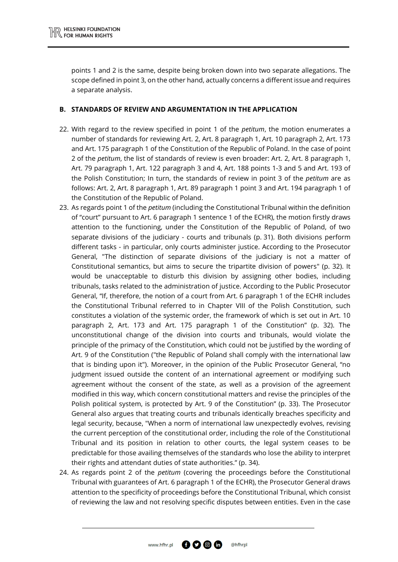points 1 and 2 is the same, despite being broken down into two separate allegations. The scope defined in point 3, on the other hand, actually concerns a different issue and requires a separate analysis.

#### **B. STANDARDS OF REVIEW AND ARGUMENTATION IN THE APPLICATION**

- 22. With regard to the review specified in point 1 of the *petitum*, the motion enumerates a number of standards for reviewing Art. 2, Art. 8 paragraph 1, Art. 10 paragraph 2, Art. 173 and Art. 175 paragraph 1 of the Constitution of the Republic of Poland. In the case of point 2 of the *petitum*, the list of standards of review is even broader: Art. 2, Art. 8 paragraph 1, Art. 79 paragraph 1, Art. 122 paragraph 3 and 4, Art. 188 points 1-3 and 5 and Art. 193 of the Polish Constitution; In turn, the standards of review in point 3 of the *petitum* are as follows: Art. 2, Art. 8 paragraph 1, Art. 89 paragraph 1 point 3 and Art. 194 paragraph 1 of the Constitution of the Republic of Poland.
- 23. As regards point 1 of the *petitum* (including the Constitutional Tribunal within the definition of "court" pursuant to Art. 6 paragraph 1 sentence 1 of the ECHR), the motion firstly draws attention to the functioning, under the Constitution of the Republic of Poland, of two separate divisions of the judiciary - courts and tribunals (p. 31). Both divisions perform different tasks - in particular, only courts administer justice. According to the Prosecutor General, "The distinction of separate divisions of the judiciary is not a matter of Constitutional semantics, but aims to secure the tripartite division of powers" (p. 32). It would be unacceptable to disturb this division by assigning other bodies, including tribunals, tasks related to the administration of justice. According to the Public Prosecutor General, "If, therefore, the notion of a court from Art. 6 paragraph 1 of the ECHR includes the Constitutional Tribunal referred to in Chapter VIII of the Polish Constitution, such constitutes a violation of the systemic order, the framework of which is set out in Art. 10 paragraph 2, Art. 173 and Art. 175 paragraph 1 of the Constitution" (p. 32). The unconstitutional change of the division into courts and tribunals, would violate the principle of the primacy of the Constitution, which could not be justified by the wording of Art. 9 of the Constitution ("the Republic of Poland shall comply with the international law that is binding upon it"). Moreover, in the opinion of the Public Prosecutor General, "no judgment issued outside the content of an international agreement or modifying such agreement without the consent of the state, as well as a provision of the agreement modified in this way, which concern constitutional matters and revise the principles of the Polish political system, is protected by Art. 9 of the Constitution" (p. 33). The Prosecutor General also argues that treating courts and tribunals identically breaches specificity and legal security, because, "When a norm of international law unexpectedly evolves, revising the current perception of the constitutional order, including the role of the Constitutional Tribunal and its position in relation to other courts, the legal system ceases to be predictable for those availing themselves of the standards who lose the ability to interpret their rights and attendant duties of state authorities." (p. 34).
- 24. As regards point 2 of the *petitum* (covering the proceedings before the Constitutional Tribunal with guarantees of Art. 6 paragraph 1 of the ECHR), the Prosecutor General draws attention to the specificity of proceedings before the Constitutional Tribunal, which consist of reviewing the law and not resolving specific disputes between entities. Even in the case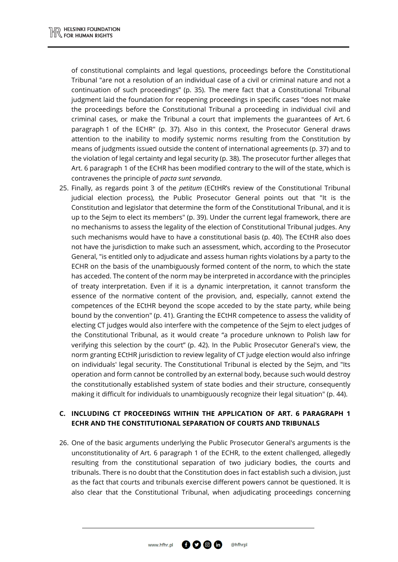of constitutional complaints and legal questions, proceedings before the Constitutional Tribunal "are not a resolution of an individual case of a civil or criminal nature and not a continuation of such proceedings" (p. 35). The mere fact that a Constitutional Tribunal judgment laid the foundation for reopening proceedings in specific cases "does not make the proceedings before the Constitutional Tribunal a proceeding in individual civil and criminal cases, or make the Tribunal a court that implements the guarantees of Art. 6 paragraph 1 of the ECHR" (p. 37). Also in this context, the Prosecutor General draws attention to the inability to modify systemic norms resulting from the Constitution by means of judgments issued outside the content of international agreements (p. 37) and to the violation of legal certainty and legal security (p. 38). The prosecutor further alleges that Art. 6 paragraph 1 of the ECHR has been modified contrary to the will of the state, which is contravenes the principle of *pacta sunt servanda*.

25. Finally, as regards point 3 of the *petitum* (ECtHR's review of the Constitutional Tribunal judicial election process), the Public Prosecutor General points out that "It is the Constitution and legislator that determine the form of the Constitutional Tribunal, and it is up to the Sejm to elect its members" (p. 39). Under the current legal framework, there are no mechanisms to assess the legality of the election of Constitutional Tribunal judges. Any such mechanisms would have to have a constitutional basis (p. 40). The ECtHR also does not have the jurisdiction to make such an assessment, which, according to the Prosecutor General, "is entitled only to adjudicate and assess human rights violations by a party to the ECHR on the basis of the unambiguously formed content of the norm, to which the state has acceded. The content of the norm may be interpreted in accordance with the principles of treaty interpretation. Even if it is a dynamic interpretation, it cannot transform the essence of the normative content of the provision, and, especially, cannot extend the competences of the ECtHR beyond the scope acceded to by the state party, while being bound by the convention" (p. 41). Granting the ECtHR competence to assess the validity of electing CT judges would also interfere with the competence of the Sejm to elect judges of the Constitutional Tribunal, as it would create "a procedure unknown to Polish law for verifying this selection by the court" (p. 42). In the Public Prosecutor General's view, the norm granting ECtHR jurisdiction to review legality of CT judge election would also infringe on individuals' legal security. The Constitutional Tribunal is elected by the Sejm, and "Its operation and form cannot be controlled by an external body, because such would destroy the constitutionally established system of state bodies and their structure, consequently making it difficult for individuals to unambiguously recognize their legal situation" (p. 44).

# **C. INCLUDING CT PROCEEDINGS WITHIN THE APPLICATION OF ART. 6 PARAGRAPH 1 ECHR AND THE CONSTITUTIONAL SEPARATION OF COURTS AND TRIBUNALS**

26. One of the basic arguments underlying the Public Prosecutor General's arguments is the unconstitutionality of Art. 6 paragraph 1 of the ECHR, to the extent challenged, allegedly resulting from the constitutional separation of two judiciary bodies, the courts and tribunals. There is no doubt that the Constitution does in fact establish such a division, just as the fact that courts and tribunals exercise different powers cannot be questioned. It is also clear that the Constitutional Tribunal, when adjudicating proceedings concerning

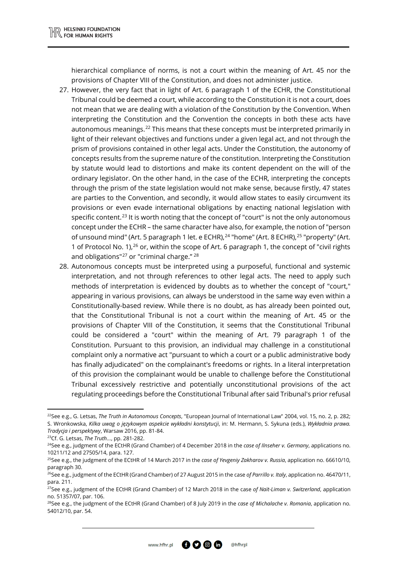hierarchical compliance of norms, is not a court within the meaning of Art. 45 nor the provisions of Chapter VIII of the Constitution, and does not administer justice.

- 27. However, the very fact that in light of Art. 6 paragraph 1 of the ECHR, the Constitutional Tribunal could be deemed a court, while according to the Constitution it is not a court, does not mean that we are dealing with a violation of the Constitution by the Convention. When interpreting the Constitution and the Convention the concepts in both these acts have autonomous meanings.<sup>[22](#page-9-0)</sup> This means that these concepts must be interpreted primarily in light of their relevant objectives and functions under a given legal act, and not through the prism of provisions contained in other legal acts. Under the Constitution, the autonomy of concepts results from the supreme nature of the constitution. Interpreting the Constitution by statute would lead to distortions and make its content dependent on the will of the ordinary legislator. On the other hand, in the case of the ECHR, interpreting the concepts through the prism of the state legislation would not make sense, because firstly, 47 states are parties to the Convention, and secondly, it would allow states to easily circumvent its provisions or even evade international obligations by enacting national legislation with specific content.<sup>[23](#page-9-1)</sup> It is worth noting that the concept of "court" is not the only autonomous concept under the ECHR – the same character have also, for example, the notion of "person of unsound mind" (Art. 5 paragraph 1 let. e ECHR),<sup>[24](#page-9-2)</sup> "home" (Art. 8 ECHR),<sup>[25](#page-9-3)</sup> "property" (Art. 1 of Protocol No. 1),<sup>[26](#page-9-4)</sup> or, within the scope of Art. 6 paragraph 1, the concept of "civil rights and obligations"<sup>[27](#page-9-5)</sup> or "criminal charge."<sup>[28](#page-9-6)</sup>
- 28. Autonomous concepts must be interpreted using a purposeful, functional and systemic interpretation, and not through references to other legal acts. The need to apply such methods of interpretation is evidenced by doubts as to whether the concept of "court," appearing in various provisions, can always be understood in the same way even within a Constitutionally-based review. While there is no doubt, as has already been pointed out, that the Constitutional Tribunal is not a court within the meaning of Art. 45 or the provisions of Chapter VIII of the Constitution, it seems that the Constitutional Tribunal could be considered a "court" within the meaning of Art. 79 paragraph 1 of the Constitution. Pursuant to this provision, an individual may challenge in a constitutional complaint only a normative act "pursuant to which a court or a public administrative body has finally adjudicated" on the complainant's freedoms or rights. In a literal interpretation of this provision the complainant would be unable to challenge before the Constitutional Tribunal excessively restrictive and potentially unconstitutional provisions of the act regulating proceedings before the Constitutional Tribunal after said Tribunal's prior refusal

**.** 



<span id="page-9-0"></span><sup>22</sup>See e.g., G. Letsas, *The Truth in Autonomous Concepts*, "European Journal of International Law" 2004, vol. 15, no. 2, p. 282; S. Wronkowska, *Kilka uwag o językowym aspekcie wykładni konstytucji*, in: M. Hermann, S. Sykuna (eds.), *Wykładnia prawa. Tradycja i perspektywy*, Warsaw 2016, pp. 81-84.

<span id="page-9-1"></span><sup>23</sup>Cf. G. Letsas, *The Truth*…, pp. 281-282.

<span id="page-9-2"></span><sup>24</sup>See e.g., judgment of the ECtHR (Grand Chamber) of 4 December 2018 in the *case of Ilnseher v. Germany*, applications no. 10211/12 and 27505/14, para. 127.<br><sup>25</sup>See e.g., the judgment of the ECtHR of 14 March 2017 in the *case of Yevgeniy Zakharov v. Russia*, application no. 66610/10,

<span id="page-9-3"></span>paragraph 30.

<span id="page-9-4"></span><sup>26</sup>See e.g., judgment of the ECtHR (Grand Chamber) of 27 August 2015 in the case *of Parrillo v. Italy*, application no. 46470/11, para. 211.

<span id="page-9-5"></span><sup>27</sup>See e.g., judgment of the ECtHR (Grand Chamber) of 12 March 2018 in the case *of Naït-Liman v. Switzerland*, application no. 51357/07, par. 106.

<span id="page-9-6"></span><sup>28</sup>See e.g., the judgment of the ECtHR (Grand Chamber) of 8 July 2019 in the *case of Michalache v. Romania*, application no. 54012/10, par. 54.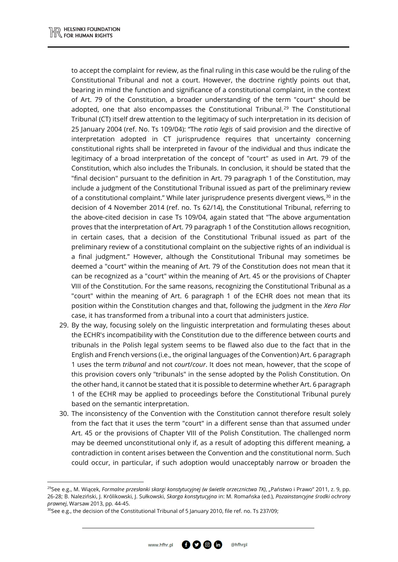to accept the complaint for review, as the final ruling in this case would be the ruling of the Constitutional Tribunal and not a court. However, the doctrine rightly points out that, bearing in mind the function and significance of a constitutional complaint, in the context of Art. 79 of the Constitution, a broader understanding of the term "court" should be adopted, one that also encompasses the Constitutional Tribunal.<sup>[29](#page-10-0)</sup> The Constitutional Tribunal (CT) itself drew attention to the legitimacy of such interpretation in its decision of 25 January 2004 (ref. No. Ts 109/04): "The *ratio legis* of said provision and the directive of interpretation adopted in CT jurisprudence requires that uncertainty concerning constitutional rights shall be interpreted in favour of the individual and thus indicate the legitimacy of a broad interpretation of the concept of "court" as used in Art. 79 of the Constitution, which also includes the Tribunals. In conclusion, it should be stated that the "final decision" pursuant to the definition in Art. 79 paragraph 1 of the Constitution, may include a judgment of the Constitutional Tribunal issued as part of the preliminary review of a constitutional complaint." While later jurisprudence presents divergent views,<sup>[30](#page-10-1)</sup> in the decision of 4 November 2014 (ref. no. Ts 62/14), the Constitutional Tribunal, referring to the above-cited decision in case Ts 109/04, again stated that "The above argumentation proves that the interpretation of Art. 79 paragraph 1 of the Constitution allows recognition, in certain cases, that a decision of the Constitutional Tribunal issued as part of the preliminary review of a constitutional complaint on the subjective rights of an individual is a final judgment." However, although the Constitutional Tribunal may sometimes be deemed a "court" within the meaning of Art. 79 of the Constitution does not mean that it can be recognized as a "court" within the meaning of Art. 45 or the provisions of Chapter VIII of the Constitution. For the same reasons, recognizing the Constitutional Tribunal as a "court" within the meaning of Art. 6 paragraph 1 of the ECHR does not mean that its position within the Constitution changes and that, following the judgment in the *Xero Flor* case, it has transformed from a tribunal into a court that administers justice.

- 29. By the way, focusing solely on the linguistic interpretation and formulating theses about the ECHR's incompatibility with the Constitution due to the difference between courts and tribunals in the Polish legal system seems to be flawed also due to the fact that in the English and French versions (i.e., the original languages of the Convention) Art. 6 paragraph 1 uses the term *tribunal* and not *court*/*cour*. It does not mean, however, that the scope of this provision covers only "tribunals" in the sense adopted by the Polish Constitution. On the other hand, it cannot be stated that it is possible to determine whether Art. 6 paragraph 1 of the ECHR may be applied to proceedings before the Constitutional Tribunal purely based on the semantic interpretation.
- 30. The inconsistency of the Convention with the Constitution cannot therefore result solely from the fact that it uses the term "court" in a different sense than that assumed under Art. 45 or the provisions of Chapter VIII of the Polish Constitution. The challenged norm may be deemed unconstitutional only if, as a result of adopting this different meaning, a contradiction in content arises between the Convention and the constitutional norm. Such could occur, in particular, if such adoption would unacceptably narrow or broaden the

@hfhrp

 $\overline{a}$ 

<span id="page-10-0"></span><sup>&</sup>lt;sup>29</sup>See e.g., M. Wiącek, *Formalne przesłanki skargi konstytucyjnej (w świetle orzecznictwa TK), "Państwo i Prawo" 2011, z. 9, pp.* 26-28; B. Naleziński, J. Królikowski, J. Sułkowski, *Skarga konstytucyjna* in: M. Romańska (ed.), *Pozainstancyjne środki ochrony prawnej*, Warsaw 2013, pp. 44-45.

<span id="page-10-1"></span><sup>&</sup>lt;sup>30</sup>See e.g., the decision of the Constitutional Tribunal of 5 January 2010, file ref. no. Ts 237/09;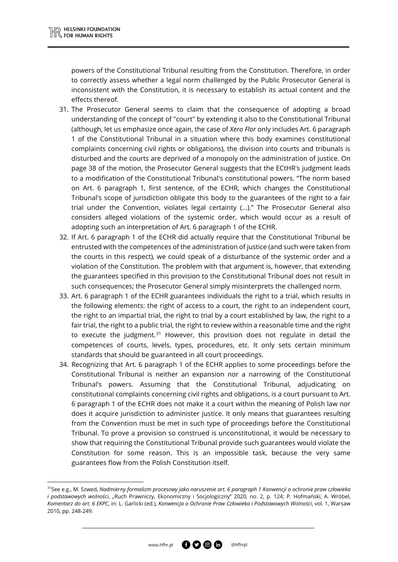$\overline{a}$ 

powers of the Constitutional Tribunal resulting from the Constitution. Therefore, in order to correctly assess whether a legal norm challenged by the Public Prosecutor General is inconsistent with the Constitution, it is necessary to establish its actual content and the effects thereof.

- 31. The Prosecutor General seems to claim that the consequence of adopting a broad understanding of the concept of "court" by extending it also to the Constitutional Tribunal (although, let us emphasize once again, the case of *Xero Flor* only includes Art. 6 paragraph 1 of the Constitutional Tribunal in a situation where this body examines constitutional complaints concerning civil rights or obligations), the division into courts and tribunals is disturbed and the courts are deprived of a monopoly on the administration of justice. On page 38 of the motion, the Prosecutor General suggests that the ECtHR's judgment leads to a modification of the Constitutional Tribunal's constitutional powers. "The norm based on Art. 6 paragraph 1, first sentence, of the ECHR, which changes the Constitutional Tribunal's scope of jurisdiction obligate this body to the guarantees of the right to a fair trial under the Convention, violates legal certainty (...)." The Prosecutor General also considers alleged violations of the systemic order, which would occur as a result of adopting such an interpretation of Art. 6 paragraph 1 of the ECHR.
- 32. If Art. 6 paragraph 1 of the ECHR did actually require that the Constitutional Tribunal be entrusted with the competences of the administration of justice (and such were taken from the courts in this respect), we could speak of a disturbance of the systemic order and a violation of the Constitution. The problem with that argument is, however, that extending the guarantees specified in this provision to the Constitutional Tribunal does not result in such consequences; the Prosecutor General simply misinterprets the challenged norm.
- 33. Art. 6 paragraph 1 of the ECHR guarantees individuals the right to a trial, which results in the following elements: the right of access to a court, the right to an independent court, the right to an impartial trial, the right to trial by a court established by law, the right to a fair trial, the right to a public trial, the right to review within a reasonable time and the right to execute the judgment.<sup>[31](#page-11-0)</sup> However, this provision does not regulate in detail the competences of courts, levels, types, procedures, etc. It only sets certain minimum standards that should be guaranteed in all court proceedings.
- 34. Recognizing that Art. 6 paragraph 1 of the ECHR applies to some proceedings before the Constitutional Tribunal is neither an expansion nor a narrowing of the Constitutional Tribunal's powers. Assuming that the Constitutional Tribunal, adjudicating on constitutional complaints concerning civil rights and obligations, is a court pursuant to Art. 6 paragraph 1 of the ECHR does not make it a court within the meaning of Polish law nor does it acquire jurisdiction to administer justice. It only means that guarantees resulting from the Convention must be met in such type of proceedings before the Constitutional Tribunal. To prove a provision so construed is unconstitutional, it would be necessary to show that requiring the Constitutional Tribunal provide such guarantees would violate the Constitution for some reason. This is an impossible task, because the very same guarantees flow from the Polish Constitution itself.

@hfhrpl

 $\theta$  0  $\theta$  m www.hfhr.pl

<span id="page-11-0"></span><sup>31</sup>See e.g., M. Szwed, *Nadmierny formalizm procesowy jako naruszenie art. 6 paragraph 1 Konwencji o ochronie praw człowieka i podstawowych wolności*, "Ruch Prawniczy, Ekonomiczny i Socjologiczny" 2020, no. 2, p. 124; P. Hofmański, A. Wróbel, *Komentarz do art. 6 EKPC*, in: L. Garlicki (ed.), *Konwencja o Ochronie Praw Człowieka i Podstawowych Wolności*, vol. 1, Warsaw 2010, pp. 248-249.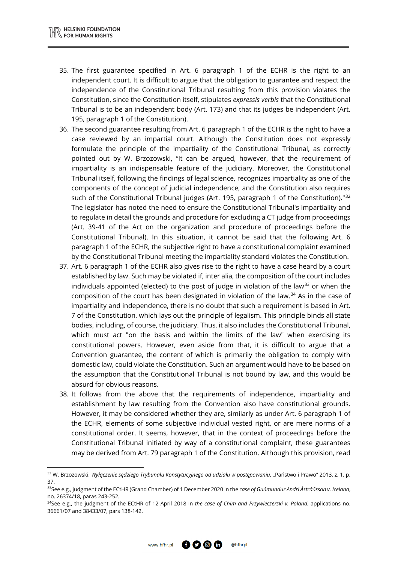<u>.</u>

- 35. The first guarantee specified in Art. 6 paragraph 1 of the ECHR is the right to an independent court. It is difficult to argue that the obligation to guarantee and respect the independence of the Constitutional Tribunal resulting from this provision violates the Constitution, since the Constitution itself, stipulates *expressis verbis* that the Constitutional Tribunal is to be an independent body (Art. 173) and that its judges be independent (Art. 195, paragraph 1 of the Constitution).
- 36. The second guarantee resulting from Art. 6 paragraph 1 of the ECHR is the right to have a case reviewed by an impartial court. Although the Constitution does not expressly formulate the principle of the impartiality of the Constitutional Tribunal, as correctly pointed out by W. Brzozowski, "It can be argued, however, that the requirement of impartiality is an indispensable feature of the judiciary. Moreover, the Constitutional Tribunal itself, following the findings of legal science, recognizes impartiality as one of the components of the concept of judicial independence, and the Constitution also requires such of the Constitutional Tribunal judges (Art. 195, paragraph 1 of the Constitution).<sup>"[32](#page-12-0)</sup> The legislator has noted the need to ensure the Constitutional Tribunal's impartiality and to regulate in detail the grounds and procedure for excluding a CT judge from proceedings (Art. 39-41 of the Act on the organization and procedure of proceedings before the Constitutional Tribunal). In this situation, it cannot be said that the following Art. 6 paragraph 1 of the ECHR, the subjective right to have a constitutional complaint examined by the Constitutional Tribunal meeting the impartiality standard violates the Constitution.
- 37. Art. 6 paragraph 1 of the ECHR also gives rise to the right to have a case heard by a court established by law. Such may be violated if, inter alia, the composition of the court includes individuals appointed (elected) to the post of judge in violation of the law<sup>[33](#page-12-1)</sup> or when the composition of the court has been designated in violation of the law. [34](#page-12-2) As in the case of impartiality and independence, there is no doubt that such a requirement is based in Art. 7 of the Constitution, which lays out the principle of legalism. This principle binds all state bodies, including, of course, the judiciary. Thus, it also includes the Constitutional Tribunal, which must act "on the basis and within the limits of the law" when exercising its constitutional powers. However, even aside from that, it is difficult to argue that a Convention guarantee, the content of which is primarily the obligation to comply with domestic law, could violate the Constitution. Such an argument would have to be based on the assumption that the Constitutional Tribunal is not bound by law, and this would be absurd for obvious reasons.
- 38. It follows from the above that the requirements of independence, impartiality and establishment by law resulting from the Convention also have constitutional grounds. However, it may be considered whether they are, similarly as under Art. 6 paragraph 1 of the ECHR, elements of some subjective individual vested right, or are mere norms of a constitutional order. It seems, however, that in the context of proceedings before the Constitutional Tribunal initiated by way of a constitutional complaint, these guarantees may be derived from Art. 79 paragraph 1 of the Constitution. Although this provision, read

<span id="page-12-0"></span><sup>&</sup>lt;sup>32</sup> W. Brzozowski, *Wyłączenie sędziego Trybunału Konstytucyjnego od udziału w postępowaniu*, "Państwo i Prawo" 2013, z. 1, p. 37.

<span id="page-12-1"></span><sup>33</sup>See e.g., judgment of the ECtHR (Grand Chamber) of 1 December 2020 in the *case of Guðmundur Andri Ástráðsson v. Iceland*, no. 26374/18, paras 243-252.

<span id="page-12-2"></span><sup>34</sup>See e.g., the judgment of the ECtHR of 12 April 2018 in *the case of Chim and Przywieczerski v. Poland*, applications no. 36661/07 and 38433/07, pars 138-142.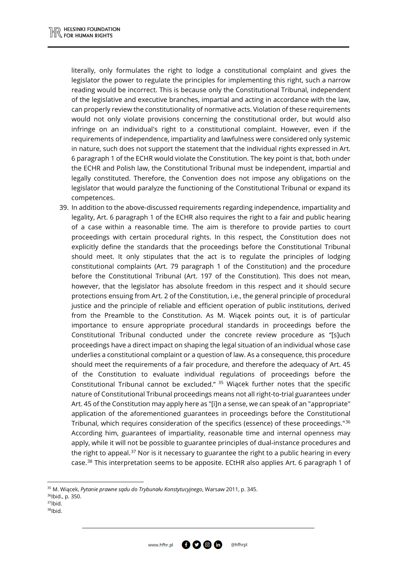literally, only formulates the right to lodge a constitutional complaint and gives the legislator the power to regulate the principles for implementing this right, such a narrow reading would be incorrect. This is because only the Constitutional Tribunal, independent of the legislative and executive branches, impartial and acting in accordance with the law, can properly review the constitutionality of normative acts. Violation of these requirements would not only violate provisions concerning the constitutional order, but would also infringe on an individual's right to a constitutional complaint. However, even if the requirements of independence, impartiality and lawfulness were considered only systemic in nature, such does not support the statement that the individual rights expressed in Art. 6 paragraph 1 of the ECHR would violate the Constitution. The key point is that, both under the ECHR and Polish law, the Constitutional Tribunal must be independent, impartial and legally constituted. Therefore, the Convention does not impose any obligations on the legislator that would paralyze the functioning of the Constitutional Tribunal or expand its competences.

39. In addition to the above-discussed requirements regarding independence, impartiality and legality, Art. 6 paragraph 1 of the ECHR also requires the right to a fair and public hearing of a case within a reasonable time. The aim is therefore to provide parties to court proceedings with certain procedural rights. In this respect, the Constitution does not explicitly define the standards that the proceedings before the Constitutional Tribunal should meet. It only stipulates that the act is to regulate the principles of lodging constitutional complaints (Art. 79 paragraph 1 of the Constitution) and the procedure before the Constitutional Tribunal (Art. 197 of the Constitution). This does not mean, however, that the legislator has absolute freedom in this respect and it should secure protections ensuing from Art. 2 of the Constitution, i.e., the general principle of procedural justice and the principle of reliable and efficient operation of public institutions, derived from the Preamble to the Constitution. As M. Wiącek points out, it is of particular importance to ensure appropriate procedural standards in proceedings before the Constitutional Tribunal conducted under the concrete review procedure as "[s]uch proceedings have a direct impact on shaping the legal situation of an individual whose case underlies a constitutional complaint or a question of law. As a consequence, this procedure should meet the requirements of a fair procedure, and therefore the adequacy of Art. 45 of the Constitution to evaluate individual regulations of proceedings before the Constitutional Tribunal cannot be excluded."  $35$  Wiącek further notes that the specific nature of Constitutional Tribunal proceedings means not all right-to-trial guarantees under Art. 45 of the Constitution may apply here as "[i]n a sense, we can speak of an "appropriate" application of the aforementioned guarantees in proceedings before the Constitutional Tribunal, which requires consideration of the specifics (essence) of these proceedings."[36](#page-13-1) According him, guarantees of impartiality, reasonable time and internal openness may apply, while it will not be possible to guarantee principles of dual-instance procedures and the right to appeal.<sup>[37](#page-13-2)</sup> Nor is it necessary to guarantee the right to a public hearing in every case.<sup>[38](#page-13-3)</sup> This interpretation seems to be apposite. ECtHR also applies Art. 6 paragraph 1 of

<span id="page-13-0"></span><sup>35</sup> M. Wiącek, *Pytanie prawne sądu do Trybunału Konstytucyjnego*, Warsaw 2011, p. 345.

- <span id="page-13-1"></span>36Ibid., p. 350.
- <span id="page-13-2"></span>37Ibid.

 $\overline{a}$ 

<span id="page-13-3"></span><sup>38</sup>Ibid.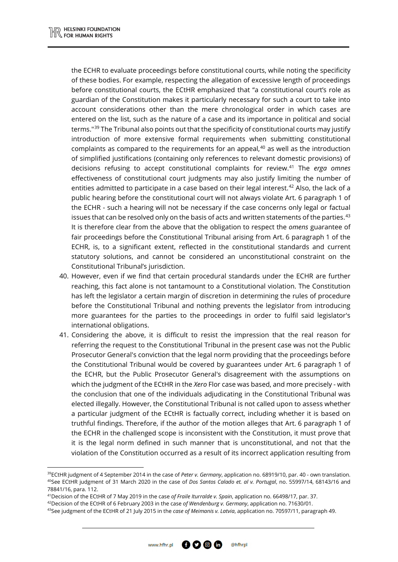<u>.</u>

the ECHR to evaluate proceedings before constitutional courts, while noting the specificity of these bodies. For example, respecting the allegation of excessive length of proceedings before constitutional courts, the ECtHR emphasized that "a constitutional court's role as guardian of the Constitution makes it particularly necessary for such a court to take into account considerations other than the mere chronological order in which cases are entered on the list, such as the nature of a case and its importance in political and social terms."[39](#page-14-0) The Tribunal also points out that the specificity of constitutional courts may justify introduction of more extensive formal requirements when submitting constitutional complaints as compared to the requirements for an appeal, [40](#page-14-1) as well as the introduction of simplified justifications (containing only references to relevant domestic provisions) of decisions refusing to accept constitutional complaints for review.[41](#page-14-2) The *erga omnes* effectiveness of constitutional court judgments may also justify limiting the number of entities admitted to participate in a case based on their legal interest.<sup>[42](#page-14-3)</sup> Also, the lack of a public hearing before the constitutional court will not always violate Art. 6 paragraph 1 of the ECHR - such a hearing will not be necessary if the case concerns only legal or factual issues that can be resolved only on the basis of acts and written statements of the parties.<sup>[43](#page-14-4)</sup> It is therefore clear from the above that the obligation to respect the *omens* guarantee of fair proceedings before the Constitutional Tribunal arising from Art. 6 paragraph 1 of the ECHR, is, to a significant extent, reflected in the constitutional standards and current statutory solutions, and cannot be considered an unconstitutional constraint on the Constitutional Tribunal's jurisdiction.

- 40. However, even if we find that certain procedural standards under the ECHR are further reaching, this fact alone is not tantamount to a Constitutional violation. The Constitution has left the legislator a certain margin of discretion in determining the rules of procedure before the Constitutional Tribunal and nothing prevents the legislator from introducing more guarantees for the parties to the proceedings in order to fulfil said legislator's international obligations.
- 41. Considering the above, it is difficult to resist the impression that the real reason for referring the request to the Constitutional Tribunal in the present case was not the Public Prosecutor General's conviction that the legal norm providing that the proceedings before the Constitutional Tribunal would be covered by guarantees under Art. 6 paragraph 1 of the ECHR, but the Public Prosecutor General's disagreement with the assumptions on which the judgment of the ECtHR in the *Xero* Flor case was based, and more precisely - with the conclusion that one of the individuals adjudicating in the Constitutional Tribunal was elected illegally. However, the Constitutional Tribunal is not called upon to assess whether a particular judgment of the ECtHR is factually correct, including whether it is based on truthful findings. Therefore, if the author of the motion alleges that Art. 6 paragraph 1 of the ECHR in the challenged scope is inconsistent with the Constitution, it must prove that it is the legal norm defined in such manner that is unconstitutional, and not that the violation of the Constitution occurred as a result of its incorrect application resulting from

<span id="page-14-1"></span><span id="page-14-0"></span><sup>39</sup>ECtHR judgment of 4 September 2014 in the case of *Peter v. Germany*, application no. 68919/10, par. 40 - own translation. <sup>40</sup>See ECtHR judgment of 31 March 2020 in the case of *Dos Santos Calado et. al v. Portugal*, no. 55997/14, 68143/16 and 78841/16, para. 112.

<sup>41</sup>Decision of the ECtHR of 7 May 2019 in the case *of Fraile Iturralde v. Spain*, application no. 66498/17, par. 37.

<span id="page-14-3"></span><span id="page-14-2"></span><sup>42</sup>Decision of the ECtHR of 6 February 2003 in the case *of Wendenburg v. Germany*, application no. 71630/01.

<span id="page-14-4"></span><sup>43</sup>See judgment of the ECtHR of 21 July 2015 in the *case of Meimanis v. Latvia*, application no. 70597/11, paragraph 49.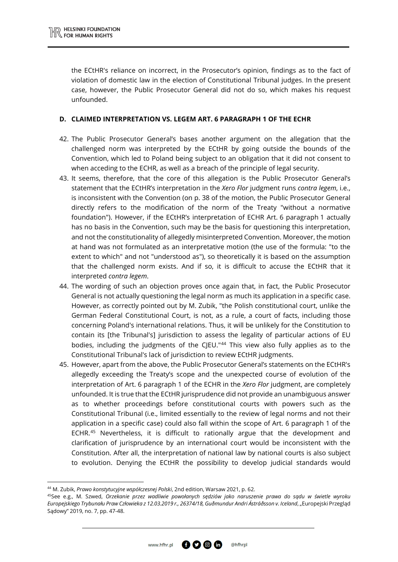the ECtHR's reliance on incorrect, in the Prosecutor's opinion, findings as to the fact of violation of domestic law in the election of Constitutional Tribunal judges. In the present case, however, the Public Prosecutor General did not do so, which makes his request unfounded.

#### **D. CLAIMED INTERPRETATION VS. LEGEM ART. 6 PARAGRAPH 1 OF THE ECHR**

- 42. The Public Prosecutor General's bases another argument on the allegation that the challenged norm was interpreted by the ECtHR by going outside the bounds of the Convention, which led to Poland being subject to an obligation that it did not consent to when acceding to the ECHR, as well as a breach of the principle of legal security.
- 43. It seems, therefore, that the core of this allegation is the Public Prosecutor General's statement that the ECtHR's interpretation in the *Xero Flor* judgment runs *contra legem*, i.e., is inconsistent with the Convention (on p. 38 of the motion, the Public Prosecutor General directly refers to the modification of the norm of the Treaty "without a normative foundation"). However, if the ECtHR's interpretation of ECHR Art. 6 paragraph 1 actually has no basis in the Convention, such may be the basis for questioning this interpretation, and not the constitutionality of allegedly misinterpreted Convention. Moreover, the motion at hand was not formulated as an interpretative motion (the use of the formula: "to the extent to which" and not "understood as"), so theoretically it is based on the assumption that the challenged norm exists. And if so, it is difficult to accuse the ECtHR that it interpreted *contra legem*.
- 44. The wording of such an objection proves once again that, in fact, the Public Prosecutor General is not actually questioning the legal norm as much its application in a specific case. However, as correctly pointed out by M. Zubik, "the Polish constitutional court, unlike the German Federal Constitutional Court, is not, as a rule, a court of facts, including those concerning Poland's international relations. Thus, it will be unlikely for the Constitution to contain its [the Tribunal's] jurisdiction to assess the legality of particular actions of EU bodies, including the judgments of the CJEU."[44](#page-15-0) This view also fully applies as to the Constitutional Tribunal's lack of jurisdiction to review ECtHR judgments.
- 45. However, apart from the above, the Public Prosecutor General's statements on the ECtHR's allegedly exceeding the Treaty's scope and the unexpected course of evolution of the interpretation of Art. 6 paragraph 1 of the ECHR in the *Xero Flor* judgment, are completely unfounded. It is true that the ECtHR jurisprudence did not provide an unambiguous answer as to whether proceedings before constitutional courts with powers such as the Constitutional Tribunal (i.e., limited essentially to the review of legal norms and not their application in a specific case) could also fall within the scope of Art. 6 paragraph 1 of the ECHR.<sup>[45](#page-15-1)</sup> Nevertheless, it is difficult to rationally argue that the development and clarification of jurisprudence by an international court would be inconsistent with the Constitution. After all, the interpretation of national law by national courts is also subject to evolution. Denying the ECtHR the possibility to develop judicial standards would

 $\overline{a}$ 

<span id="page-15-0"></span><sup>44</sup> M. Zubik, *Prawo konstytucyjne współczesnej Polski*, 2nd edition, Warsaw 2021, p. 62.

<span id="page-15-1"></span><sup>45</sup>See e.g., M. Szwed, *Orzekanie przez wadliwie powołanych sędziów jako naruszenie prawa do sądu w świetle wyroku Europejskiego Trybunału Praw Człowieka z 12.03.2019 r., 26374/18, Guðmundur Andri Ástráðsson v. Iceland*, "Europejski Przegląd Sądowy" 2019, no. 7, pp. 47-48.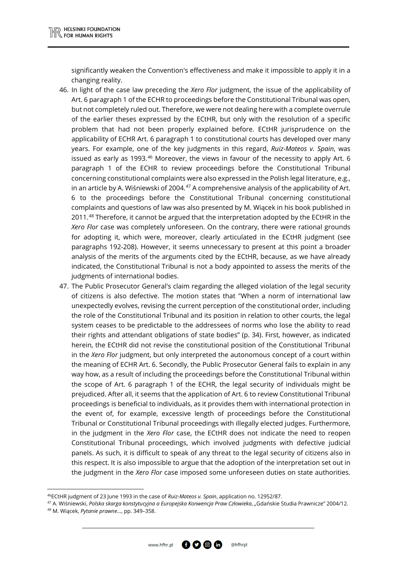significantly weaken the Convention's effectiveness and make it impossible to apply it in a changing reality.

- 46. In light of the case law preceding the *Xero Flor* judgment, the issue of the applicability of Art. 6 paragraph 1 of the ECHR to proceedings before the Constitutional Tribunal was open, but not completely ruled out. Therefore, we were not dealing here with a complete overrule of the earlier theses expressed by the ECtHR, but only with the resolution of a specific problem that had not been properly explained before. ECtHR jurisprudence on the applicability of ECHR Art. 6 paragraph 1 to constitutional courts has developed over many years. For example, one of the key judgments in this regard, *Ruiz-Mateos v. Spain*, was issued as early as 1993. $46$  Moreover, the views in favour of the necessity to apply Art. 6 paragraph 1 of the ECHR to review proceedings before the Constitutional Tribunal concerning constitutional complaints were also expressed in the Polish legal literature, e.g., in an article by A. Wiśniewski of 2004. $47$  A comprehensive analysis of the applicability of Art. 6 to the proceedings before the Constitutional Tribunal concerning constitutional complaints and questions of law was also presented by M. Wiącek in his book published in 2011.[48](#page-16-2) Therefore, it cannot be argued that the interpretation adopted by the ECtHR in the *Xero Flor* case was completely unforeseen. On the contrary, there were rational grounds for adopting it, which were, moreover, clearly articulated in the ECtHR judgment (see paragraphs 192-208). However, it seems unnecessary to present at this point a broader analysis of the merits of the arguments cited by the ECtHR, because, as we have already indicated, the Constitutional Tribunal is not a body appointed to assess the merits of the judgments of international bodies.
- 47. The Public Prosecutor General's claim regarding the alleged violation of the legal security of citizens is also defective. The motion states that "When a norm of international law unexpectedly evolves, revising the current perception of the constitutional order, including the role of the Constitutional Tribunal and its position in relation to other courts, the legal system ceases to be predictable to the addressees of norms who lose the ability to read their rights and attendant obligations of state bodies" (p. 34). First, however, as indicated herein, the ECtHR did not revise the constitutional position of the Constitutional Tribunal in the *Xero Flor* judgment, but only interpreted the autonomous concept of a court within the meaning of ECHR Art. 6. Secondly, the Public Prosecutor General fails to explain in any way how, as a result of including the proceedings before the Constitutional Tribunal within the scope of Art. 6 paragraph 1 of the ECHR, the legal security of individuals might be prejudiced. After all, it seems that the application of Art. 6 to review Constitutional Tribunal proceedings is beneficial to individuals, as it provides them with international protection in the event of, for example, excessive length of proceedings before the Constitutional Tribunal or Constitutional Tribunal proceedings with illegally elected judges. Furthermore, in the judgment in the *Xero Flor* case, the ECtHR does not indicate the need to reopen Constitutional Tribunal proceedings, which involved judgments with defective judicial panels. As such, it is difficult to speak of any threat to the legal security of citizens also in this respect. It is also impossible to argue that the adoption of the interpretation set out in the judgment in the *Xero Flor* case imposed some unforeseen duties on state authorities.

@hfhrpl

 $\overline{a}$ 

<sup>46</sup>ECtHR judgment of 23 June 1993 in the case of *Ruiz-Mateos v. Spain*, application no. 12952/87.

<span id="page-16-1"></span><span id="page-16-0"></span><sup>47</sup> A. Wiśniewski, *Polska skarga konstytucyjna a Europejska Konwencja Praw Człowieka*, "Gdańskie Studia Prawnicze" 2004/12.

<span id="page-16-2"></span><sup>48</sup> M. Wiącek, *Pytanie prawne*…, pp. 349–358.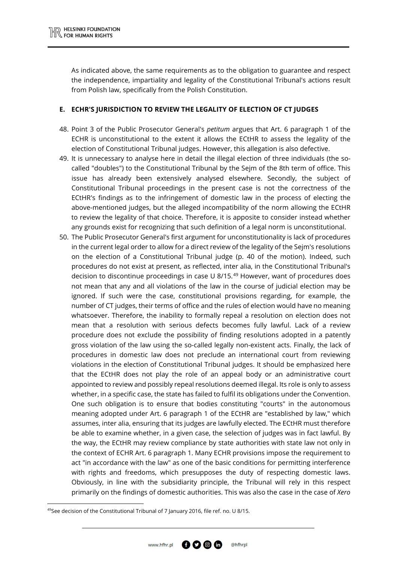As indicated above, the same requirements as to the obligation to guarantee and respect the independence, impartiality and legality of the Constitutional Tribunal's actions result from Polish law, specifically from the Polish Constitution.

#### **E. ECHR'S JURISDICTION TO REVIEW THE LEGALITY OF ELECTION OF CT JUDGES**

- 48. Point 3 of the Public Prosecutor General's *petitum* argues that Art. 6 paragraph 1 of the ECHR is unconstitutional to the extent it allows the ECtHR to assess the legality of the election of Constitutional Tribunal judges. However, this allegation is also defective.
- 49. It is unnecessary to analyse here in detail the illegal election of three individuals (the socalled "doubles") to the Constitutional Tribunal by the Sejm of the 8th term of office. This issue has already been extensively analysed elsewhere. Secondly, the subject of Constitutional Tribunal proceedings in the present case is not the correctness of the ECtHR's findings as to the infringement of domestic law in the process of electing the above-mentioned judges, but the alleged incompatibility of the norm allowing the ECtHR to review the legality of that choice. Therefore, it is apposite to consider instead whether any grounds exist for recognizing that such definition of a legal norm is unconstitutional.
- 50. The Public Prosecutor General's first argument for unconstitutionality is lack of procedures in the current legal order to allow for a direct review of the legality of the Sejm's resolutions on the election of a Constitutional Tribunal judge (p. 40 of the motion). Indeed, such procedures do not exist at present, as reflected, inter alia, in the Constitutional Tribunal's decision to discontinue proceedings in case U 8/15. [49](#page-17-0) However, want of procedures does not mean that any and all violations of the law in the course of judicial election may be ignored. If such were the case, constitutional provisions regarding, for example, the number of CT judges, their terms of office and the rules of election would have no meaning whatsoever. Therefore, the inability to formally repeal a resolution on election does not mean that a resolution with serious defects becomes fully lawful. Lack of a review procedure does not exclude the possibility of finding resolutions adopted in a patently gross violation of the law using the so-called legally non-existent acts. Finally, the lack of procedures in domestic law does not preclude an international court from reviewing violations in the election of Constitutional Tribunal judges. It should be emphasized here that the ECtHR does not play the role of an appeal body or an administrative court appointed to review and possibly repeal resolutions deemed illegal. Its role is only to assess whether, in a specific case, the state has failed to fulfil its obligations under the Convention. One such obligation is to ensure that bodies constituting "courts" in the autonomous meaning adopted under Art. 6 paragraph 1 of the ECtHR are "established by law," which assumes, inter alia, ensuring that its judges are lawfully elected. The ECtHR must therefore be able to examine whether, in a given case, the selection of judges was in fact lawful. By the way, the ECtHR may review compliance by state authorities with state law not only in the context of ECHR Art. 6 paragraph 1. Many ECHR provisions impose the requirement to act "in accordance with the law" as one of the basic conditions for permitting interference with rights and freedoms, which presupposes the duty of respecting domestic laws. Obviously, in line with the subsidiarity principle, the Tribunal will rely in this respect primarily on the findings of domestic authorities. This was also the case in the case of *Xero*

 $\overline{a}$ 



<span id="page-17-0"></span><sup>49</sup> See decision of the Constitutional Tribunal of 7 January 2016, file ref. no. U 8/15.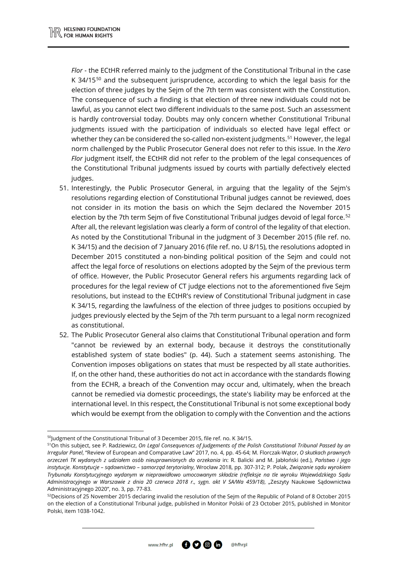*Flor* - the ECtHR referred mainly to the judgment of the Constitutional Tribunal in the case K  $34/15^{50}$  $34/15^{50}$  $34/15^{50}$  and the subsequent jurisprudence, according to which the legal basis for the election of three judges by the Sejm of the 7th term was consistent with the Constitution. The consequence of such a finding is that election of three new individuals could not be lawful, as you cannot elect two different individuals to the same post. Such an assessment is hardly controversial today. Doubts may only concern whether Constitutional Tribunal judgments issued with the participation of individuals so elected have legal effect or whether they can be considered the so-called non-existent judgments.<sup>[51](#page-18-1)</sup> However, the legal norm challenged by the Public Prosecutor General does not refer to this issue. In the *Xero Flor* judgment itself, the ECtHR did not refer to the problem of the legal consequences of the Constitutional Tribunal judgments issued by courts with partially defectively elected judges.

- 51. Interestingly, the Public Prosecutor General, in arguing that the legality of the Sejm's resolutions regarding election of Constitutional Tribunal judges cannot be reviewed, does not consider in its motion the basis on which the Sejm declared the November 2015 election by the 7th term Sejm of five Constitutional Tribunal judges devoid of legal force.<sup>[52](#page-18-2)</sup> After all, the relevant legislation was clearly a form of control of the legality of that election. As noted by the Constitutional Tribunal in the judgment of 3 December 2015 (file ref. no. K 34/15) and the decision of 7 January 2016 (file ref. no. U 8/15), the resolutions adopted in December 2015 constituted a non-binding political position of the Sejm and could not affect the legal force of resolutions on elections adopted by the Sejm of the previous term of office. However, the Public Prosecutor General refers his arguments regarding lack of procedures for the legal review of CT judge elections not to the aforementioned five Sejm resolutions, but instead to the ECtHR's review of Constitutional Tribunal judgment in case K 34/15, regarding the lawfulness of the election of three judges to positions occupied by judges previously elected by the Sejm of the 7th term pursuant to a legal norm recognized as constitutional.
- 52. The Public Prosecutor General also claims that Constitutional Tribunal operation and form "cannot be reviewed by an external body, because it destroys the constitutionally established system of state bodies" (p. 44). Such a statement seems astonishing. The Convention imposes obligations on states that must be respected by all state authorities. If, on the other hand, these authorities do not act in accordance with the standards flowing from the ECHR, a breach of the Convention may occur and, ultimately, when the breach cannot be remedied via domestic proceedings, the state's liability may be enforced at the international level. In this respect, the Constitutional Tribunal is not some exceptional body which would be exempt from the obligation to comply with the Convention and the actions

**.** 



<sup>&</sup>lt;sup>50</sup>Judgment of the Constitutional Tribunal of 3 December 2015, file ref. no. K 34/15.

<span id="page-18-1"></span><span id="page-18-0"></span><sup>51</sup>On this subject, see P. Radziewicz, *On Legal Consequences of Judgements of the Polish Constitutional Tribunal Passed by an Irregular Panel*, "Review of European and Comparative Law" 2017, no. 4, pp. 45-64; M. Florczak-Wątor, *O skutkach prawnych orzeczeń TK wydanych z udziałem osób nieuprawnionych do orzekania* in: R. Balicki and M. Jabłoński (ed.), *Państwo i jego instytucje. Konstytucje – sądownictwo – samorząd terytorialny*, Wrocław 2018, pp. 307-312; P. Polak, *Związanie sądu wyrokiem Trybunału Konstytucyjnego wydanym w nieprawidłowo umocowanym składzie (refleksje na tle wyroku Wojewódzkiego Sądu Administracyjnego w Warszawie z dnia 20 czerwca 2018 r., sygn. akt V SA/Wa 459/18)*, "Zeszyty Naukowe Sądownictwa Administracyjnego 2020", no. 3, pp. 77-83.

<span id="page-18-2"></span><sup>52</sup>Decisions of 25 November 2015 declaring invalid the resolution of the Sejm of the Republic of Poland of 8 October 2015 on the election of a Constitutional Tribunal judge, published in Monitor Polski of 23 October 2015, published in Monitor Polski, item 1038-1042.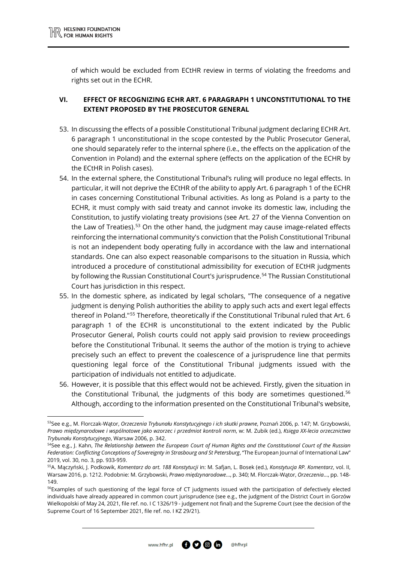**.** 

of which would be excluded from ECtHR review in terms of violating the freedoms and rights set out in the ECHR.

## **VI. EFFECT OF RECOGNIZING ECHR ART. 6 PARAGRAPH 1 UNCONSTITUTIONAL TO THE EXTENT PROPOSED BY THE PROSECUTOR GENERAL**

- 53. In discussing the effects of a possible Constitutional Tribunal judgment declaring ECHR Art. 6 paragraph 1 unconstitutional in the scope contested by the Public Prosecutor General, one should separately refer to the internal sphere (i.e., the effects on the application of the Convention in Poland) and the external sphere (effects on the application of the ECHR by the ECtHR in Polish cases).
- 54. In the external sphere, the Constitutional Tribunal's ruling will produce no legal effects. In particular, it will not deprive the ECtHR of the ability to apply Art. 6 paragraph 1 of the ECHR in cases concerning Constitutional Tribunal activities. As long as Poland is a party to the ECHR, it must comply with said treaty and cannot invoke its domestic law, including the Constitution, to justify violating treaty provisions (see Art. 27 of the Vienna Convention on the Law of Treaties).<sup>[53](#page-19-0)</sup> On the other hand, the judgment may cause image-related effects reinforcing the international community's conviction that the Polish Constitutional Tribunal is not an independent body operating fully in accordance with the law and international standards. One can also expect reasonable comparisons to the situation in Russia, which introduced a procedure of constitutional admissibility for execution of ECtHR judgments by following the Russian Constitutional Court's jurisprudence. [54](#page-19-1) The Russian Constitutional Court has jurisdiction in this respect.
- 55. In the domestic sphere, as indicated by legal scholars, "The consequence of a negative judgment is denying Polish authorities the ability to apply such acts and exert legal effects thereof in Poland."[55](#page-19-2) Therefore, theoretically if the Constitutional Tribunal ruled that Art. 6 paragraph 1 of the ECHR is unconstitutional to the extent indicated by the Public Prosecutor General, Polish courts could not apply said provision to review proceedings before the Constitutional Tribunal. It seems the author of the motion is trying to achieve precisely such an effect to prevent the coalescence of a jurisprudence line that permits questioning legal force of the Constitutional Tribunal judgments issued with the participation of individuals not entitled to adjudicate.
- 56. However, it is possible that this effect would not be achieved. Firstly, given the situation in the Constitutional Tribunal, the judgments of this body are sometimes questioned.[56](#page-19-3) Although, according to the information presented on the Constitutional Tribunal's website,

@hfhrpl

<span id="page-19-0"></span><sup>53</sup>See e.g., M. Florczak-Wątor, *Orzeczenia Trybunału Konstytucyjnego i ich skutki prawne*, Poznań 2006, p. 147; M. Grzybowski, *Prawo międzynarodowe i wspólnotowe jako wzorzec i przedmiot kontroli norm*, w: M. Zubik (ed.), *Księga XX-lecia orzecznictwa Trybunału Konstytucyjnego*, Warsaw 2006, p. 342.

<span id="page-19-1"></span><sup>54</sup>See e.g., J. Kahn, *The Relationship between the European Court of Human Rights and the Constitutional Court of the Russian Federation: Conflicting Conceptions of Sovereignty in Strasbourg and St Petersburg*, "The European Journal of International Law" 2019, vol. 30, no. 3, pp. 933-959.

<span id="page-19-2"></span><sup>55</sup>A. Mączyński, J. Podkowik, *Komentarz do art. 188 Konstytucji* in: M. Safjan, L. Bosek (ed.), *Konstytucja RP. Komentarz*, vol. II, Warsaw 2016, p. 1212. Podobnie: M. Grzybowski, *Prawo międzynarodowe*…, p. 340; M. Florczak-Wątor, *Orzeczenia*…, pp. 148- 149.

<span id="page-19-3"></span><sup>&</sup>lt;sup>56</sup>Examples of such questioning of the legal force of CT judgments issued with the participation of defectively elected individuals have already appeared in common court jurisprudence (see e.g., the judgment of the District Court in Gorzów Wielkopolski of May 24, 2021, file ref. no. I C 1326/19 - judgement not final) and the Supreme Court (see the decision of the Supreme Court of 16 September 2021, file ref. no. I KZ 29/21).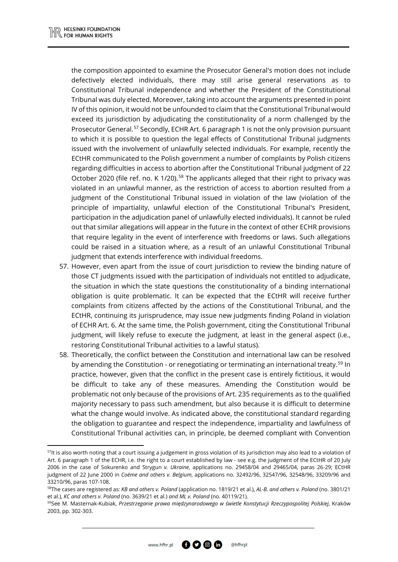<u>.</u>

the composition appointed to examine the Prosecutor General's motion does not include defectively elected individuals, there may still arise general reservations as to Constitutional Tribunal independence and whether the President of the Constitutional Tribunal was duly elected. Moreover, taking into account the arguments presented in point IV of this opinion, it would not be unfounded to claim that the Constitutional Tribunal would exceed its jurisdiction by adjudicating the constitutionality of a norm challenged by the Prosecutor General.<sup>[57](#page-20-0)</sup> Secondly, ECHR Art. 6 paragraph 1 is not the only provision pursuant to which it is possible to question the legal effects of Constitutional Tribunal judgments issued with the involvement of unlawfully selected individuals. For example, recently the ECtHR communicated to the Polish government a number of complaints by Polish citizens regarding difficulties in access to abortion after the Constitutional Tribunal judgment of 22 October 2020 (file ref. no. K 1/20).<sup>[58](#page-20-1)</sup> The applicants alleged that their right to privacy was violated in an unlawful manner, as the restriction of access to abortion resulted from a judgment of the Constitutional Tribunal issued in violation of the law (violation of the principle of impartiality, unlawful election of the Constitutional Tribunal's President, participation in the adjudication panel of unlawfully elected individuals). It cannot be ruled out that similar allegations will appear in the future in the context of other ECHR provisions that require legality in the event of interference with freedoms or laws. Such allegations could be raised in a situation where, as a result of an unlawful Constitutional Tribunal judgment that extends interference with individual freedoms.

- 57. However, even apart from the issue of court jurisdiction to review the binding nature of those CT judgments issued with the participation of individuals not entitled to adjudicate, the situation in which the state questions the constitutionality of a binding international obligation is quite problematic. It can be expected that the ECtHR will receive further complaints from citizens affected by the actions of the Constitutional Tribunal, and the ECtHR, continuing its jurisprudence, may issue new judgments finding Poland in violation of ECHR Art. 6. At the same time, the Polish government, citing the Constitutional Tribunal judgment, will likely refuse to execute the judgment, at least in the general aspect (i.e., restoring Constitutional Tribunal activities to a lawful status).
- 58. Theoretically, the conflict between the Constitution and international law can be resolved by amending the Constitution - or renegotiating or terminating an international treaty.<sup>[59](#page-20-2)</sup> In practice, however, given that the conflict in the present case is entirely fictitious, it would be difficult to take any of these measures. Amending the Constitution would be problematic not only because of the provisions of Art. 235 requirements as to the qualified majority necessary to pass such amendment, but also because it is difficult to determine what the change would involve. As indicated above, the constitutional standard regarding the obligation to guarantee and respect the independence, impartiality and lawfulness of Constitutional Tribunal activities can, in principle, be deemed compliant with Convention

<span id="page-20-0"></span> $57$ It is also worth noting that a court issuing a judgement in gross violation of its jurisdiction may also lead to a violation of Art. 6 paragraph 1 of the ECHR, i.e. the right to a court established by law - see e.g. the judgment of the ECtHR of 20 July 2006 in the case of Sokurenko and Strygun *v. Ukraine*, applications no. 29458/04 and 29465/04, paras 26-29; ECtHR judgment of 22 June 2000 in *Coëme and others v. Belgium*, applications no. 32492/96, 32547/96, 32548/96, 33209/96 and 33210/96, paras 107-108.

<span id="page-20-1"></span><sup>58</sup>The cases are registered as*: KB and others v. Poland* (application no. 1819/21 et al.), *AL-B. and others v. Poland* (no. 3801/21 et al.), *KC and others v. Poland* (no. 3639/21 et al.) *and ML v. Poland* (no. 40119/21).

<span id="page-20-2"></span><sup>59</sup>See M. Masternak-Kubiak, *Przestrzeganie prawa międzynarodowego w świetle Konstytucji Rzeczypospolitej Polskiej*, Kraków 2003, pp. 302-303.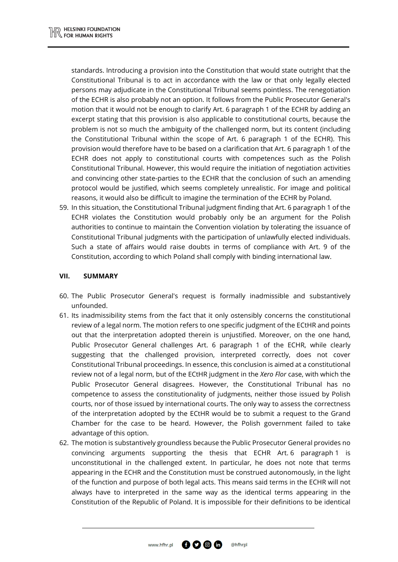standards. Introducing a provision into the Constitution that would state outright that the Constitutional Tribunal is to act in accordance with the law or that only legally elected persons may adjudicate in the Constitutional Tribunal seems pointless. The renegotiation of the ECHR is also probably not an option. It follows from the Public Prosecutor General's motion that it would not be enough to clarify Art. 6 paragraph 1 of the ECHR by adding an excerpt stating that this provision is also applicable to constitutional courts, because the problem is not so much the ambiguity of the challenged norm, but its content (including the Constitutional Tribunal within the scope of Art. 6 paragraph 1 of the ECHR). This provision would therefore have to be based on a clarification that Art. 6 paragraph 1 of the ECHR does not apply to constitutional courts with competences such as the Polish Constitutional Tribunal. However, this would require the initiation of negotiation activities and convincing other state-parties to the ECHR that the conclusion of such an amending protocol would be justified, which seems completely unrealistic. For image and political reasons, it would also be difficult to imagine the termination of the ECHR by Poland.

59. In this situation, the Constitutional Tribunal judgment finding that Art. 6 paragraph 1 of the ECHR violates the Constitution would probably only be an argument for the Polish authorities to continue to maintain the Convention violation by tolerating the issuance of Constitutional Tribunal judgments with the participation of unlawfully elected individuals. Such a state of affairs would raise doubts in terms of compliance with Art. 9 of the Constitution, according to which Poland shall comply with binding international law.

#### **VII. SUMMARY**

- 60. The Public Prosecutor General's request is formally inadmissible and substantively unfounded.
- 61. Its inadmissibility stems from the fact that it only ostensibly concerns the constitutional review of a legal norm. The motion refers to one specific judgment of the ECtHR and points out that the interpretation adopted therein is unjustified. Moreover, on the one hand, Public Prosecutor General challenges Art. 6 paragraph 1 of the ECHR, while clearly suggesting that the challenged provision, interpreted correctly, does not cover Constitutional Tribunal proceedings. In essence, this conclusion is aimed at a constitutional review not of a legal norm, but of the ECtHR judgment in the *Xero Flor* case, with which the Public Prosecutor General disagrees. However, the Constitutional Tribunal has no competence to assess the constitutionality of judgments, neither those issued by Polish courts, nor of those issued by international courts. The only way to assess the correctness of the interpretation adopted by the ECtHR would be to submit a request to the Grand Chamber for the case to be heard. However, the Polish government failed to take advantage of this option.
- 62. The motion is substantively groundless because the Public Prosecutor General provides no convincing arguments supporting the thesis that ECHR Art. 6 paragraph 1 is unconstitutional in the challenged extent. In particular, he does not note that terms appearing in the ECHR and the Constitution must be construed autonomously, in the light of the function and purpose of both legal acts. This means said terms in the ECHR will not always have to interpreted in the same way as the identical terms appearing in the Constitution of the Republic of Poland. It is impossible for their definitions to be identical